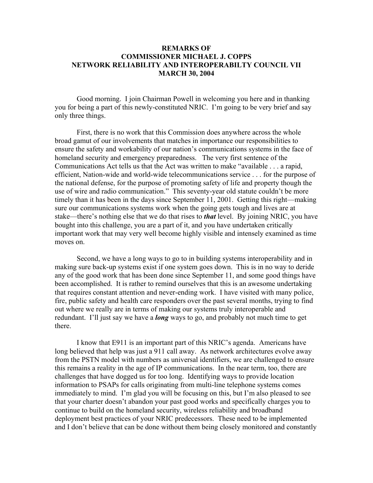## **REMARKS OF COMMISSIONER MICHAEL J. COPPS NETWORK RELIABILITY AND INTEROPERABILTY COUNCIL VII MARCH 30, 2004**

 Good morning. I join Chairman Powell in welcoming you here and in thanking you for being a part of this newly-constituted NRIC. I'm going to be very brief and say only three things.

First, there is no work that this Commission does anywhere across the whole broad gamut of our involvements that matches in importance our responsibilities to ensure the safety and workability of our nation's communications systems in the face of homeland security and emergency preparedness. The very first sentence of the Communications Act tells us that the Act was written to make "available . . . a rapid, efficient, Nation-wide and world-wide telecommunications service . . . for the purpose of the national defense, for the purpose of promoting safety of life and property though the use of wire and radio communication." This seventy-year old statute couldn't be more timely than it has been in the days since September 11, 2001. Getting this right—making sure our communications systems work when the going gets tough and lives are at stake—there's nothing else that we do that rises to *that* level. By joining NRIC, you have bought into this challenge, you are a part of it, and you have undertaken critically important work that may very well become highly visible and intensely examined as time moves on.

Second, we have a long ways to go to in building systems interoperability and in making sure back-up systems exist if one system goes down. This is in no way to deride any of the good work that has been done since September 11, and some good things have been accomplished. It is rather to remind ourselves that this is an awesome undertaking that requires constant attention and never-ending work. I have visited with many police, fire, public safety and health care responders over the past several months, trying to find out where we really are in terms of making our systems truly interoperable and redundant. I'll just say we have a *long* ways to go, and probably not much time to get there.

 I know that E911 is an important part of this NRIC's agenda. Americans have long believed that help was just a 911 call away. As network architectures evolve away from the PSTN model with numbers as universal identifiers, we are challenged to ensure this remains a reality in the age of IP communications. In the near term, too, there are challenges that have dogged us for too long. Identifying ways to provide location information to PSAPs for calls originating from multi-line telephone systems comes immediately to mind. I'm glad you will be focusing on this, but I'm also pleased to see that your charter doesn't abandon your past good works and specifically charges you to continue to build on the homeland security, wireless reliability and broadband deployment best practices of your NRIC predecessors. These need to be implemented and I don't believe that can be done without them being closely monitored and constantly